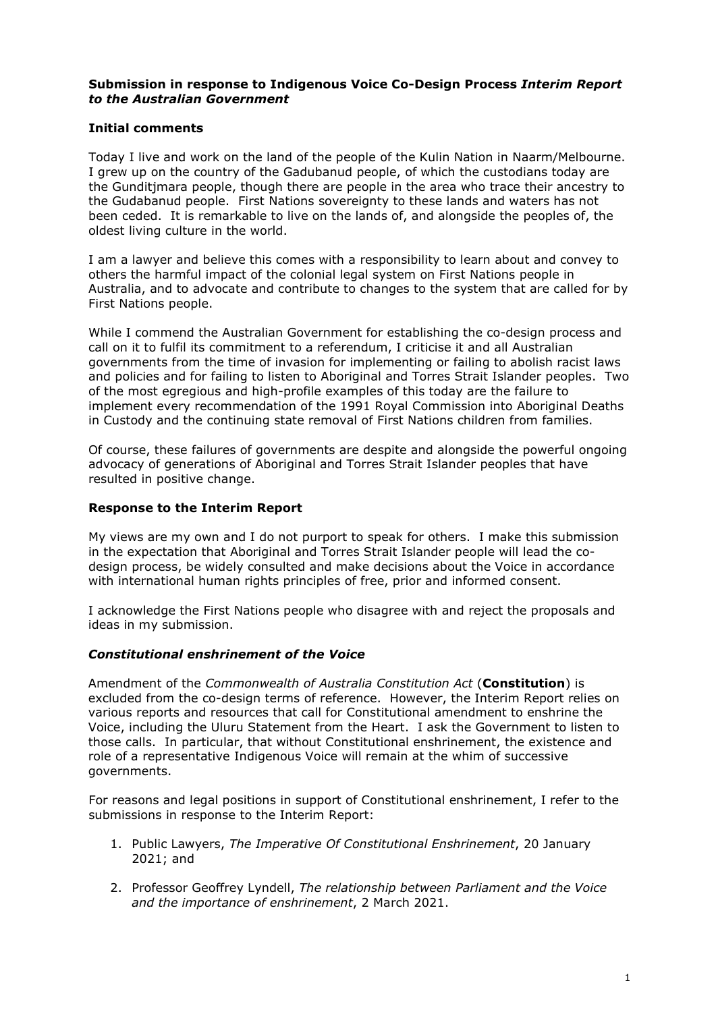### **Submission in response to Indigenous Voice Co-Design Process** *Interim Report to the Australian Government*

# **Initial comments**

Today I live and work on the land of the people of the Kulin Nation in Naarm/Melbourne. I grew up on the country of the Gadubanud people, of which the custodians today are the Gunditjmara people, though there are people in the area who trace their ancestry to the Gudabanud people. First Nations sovereignty to these lands and waters has not been ceded. It is remarkable to live on the lands of, and alongside the peoples of, the oldest living culture in the world.

I am a lawyer and believe this comes with a responsibility to learn about and convey to others the harmful impact of the colonial legal system on First Nations people in Australia, and to advocate and contribute to changes to the system that are called for by First Nations people.

While I commend the Australian Government for establishing the co-design process and call on it to fulfil its commitment to a referendum, I criticise it and all Australian governments from the time of invasion for implementing or failing to abolish racist laws and policies and for failing to listen to Aboriginal and Torres Strait Islander peoples. Two of the most egregious and high-profile examples of this today are the failure to implement every recommendation of the 1991 Royal Commission into Aboriginal Deaths in Custody and the continuing state removal of First Nations children from families.

Of course, these failures of governments are despite and alongside the powerful ongoing advocacy of generations of Aboriginal and Torres Strait Islander peoples that have resulted in positive change.

### **Response to the Interim Report**

My views are my own and I do not purport to speak for others. I make this submission in the expectation that Aboriginal and Torres Strait Islander people will lead the codesign process, be widely consulted and make decisions about the Voice in accordance with international human rights principles of free, prior and informed consent.

I acknowledge the First Nations people who disagree with and reject the proposals and ideas in my submission.

#### *Constitutional enshrinement of the Voice*

Amendment of the *Commonwealth of Australia Constitution Act* (**Constitution**) is excluded from the co-design terms of reference. However, the Interim Report relies on various reports and resources that call for Constitutional amendment to enshrine the Voice, including the Uluru Statement from the Heart. I ask the Government to listen to those calls. In particular, that without Constitutional enshrinement, the existence and role of a representative Indigenous Voice will remain at the whim of successive governments.

For reasons and legal positions in support of Constitutional enshrinement, I refer to the submissions in response to the Interim Report:

- 1. Public Lawyers, *The Imperative Of Constitutional Enshrinement*, 20 January 2021; and
- 2. Professor Geoffrey Lyndell, *The relationship between Parliament and the Voice and the importance of enshrinement*, 2 March 2021.